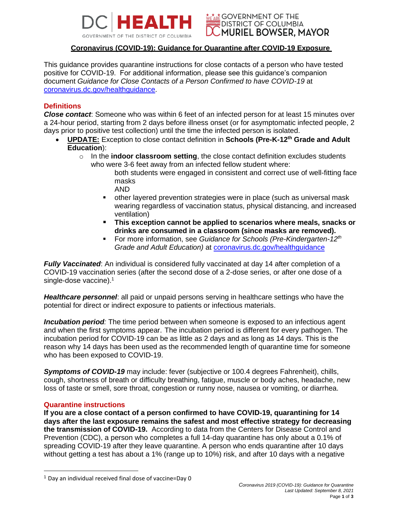



# **Coronavirus (COVID-19): Guidance for Quarantine after COVID-19 Exposure**

This guidance provides quarantine instructions for close contacts of a person who have tested positive for COVID-19. For additional information, please see this guidance's companion document *Guidance for Close Contacts of a Person Confirmed to have COVID-19* at [coronavirus.dc.gov/healthguidance.](https://coronavirus.dc.gov/healthguidance)

#### **Definitions**

*Close contact*: Someone who was within 6 feet of an infected person for at least 15 minutes over a 24-hour period, starting from 2 days before illness onset (or for asymptomatic infected people, 2 days prior to positive test collection) until the time the infected person is isolated.

- **UPDATE:** Exception to close contact definition in **Schools (Pre-K-12th Grade and Adult Education**):
	- o In the **indoor classroom setting**, the close contact definition excludes students who were 3-6 feet away from an infected fellow student where:

both students were engaged in consistent and correct use of well-fitting face masks

- AND
- other layered prevention strategies were in place (such as universal mask wearing regardless of vaccination status, physical distancing, and increased ventilation)
- **This exception cannot be applied to scenarios where meals, snacks or drinks are consumed in a classroom (since masks are removed).**
- For more information, see *Guidance for Schools (Pre-Kindergarten-12<sup>th</sup> Grade and Adult Education)* at [coronavirus.dc.gov/healthguidance](https://coronavirus.dc.gov/healthguidance)

*Fully Vaccinated*: An individual is considered fully vaccinated at day 14 after completion of a COVID-19 vaccination series (after the second dose of a 2-dose series, or after one dose of a single-dose vaccine).<sup>1</sup>

*Healthcare personnel*: all paid or unpaid persons serving in healthcare settings who have the potential for direct or indirect exposure to patients or infectious materials.

*Incubation period:* The time period between when someone is exposed to an infectious agent and when the first symptoms appear. The incubation period is different for every pathogen. The incubation period for COVID-19 can be as little as 2 days and as long as 14 days. This is the reason why 14 days has been used as the recommended length of quarantine time for someone who has been exposed to COVID-19.

*Symptoms of COVID-19* may include: fever (subjective or 100.4 degrees Fahrenheit), chills, cough, shortness of breath or difficulty breathing, fatigue, muscle or body aches, headache, new loss of taste or smell, sore throat, congestion or runny nose, nausea or vomiting, or diarrhea.

#### **Quarantine instructions**

**If you are a close contact of a person confirmed to have COVID-19, quarantining for 14 days after the last exposure remains the safest and most effective strategy for decreasing the transmission of COVID-19.** According to data from the Centers for Disease Control and Prevention (CDC), a person who completes a full 14-day quarantine has only about a 0.1% of spreading COVID-19 after they leave quarantine. A person who ends quarantine after 10 days without getting a test has about a 1% (range up to 10%) risk, and after 10 days with a negative

<sup>1</sup> Day an individual received final dose of vaccine=Day 0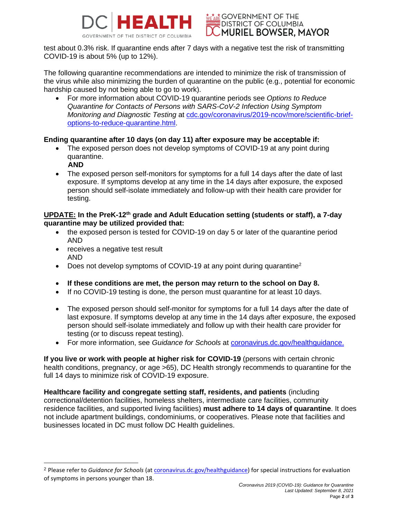

**\*r\*ar\* GOVERNMENT OF THE DISTRICT OF COLUMBIA MURIEL BOWSER, MAYOR** 

test about 0.3% risk. If quarantine ends after 7 days with a negative test the risk of transmitting COVID-19 is about 5% (up to 12%).

The following quarantine recommendations are intended to minimize the risk of transmission of the virus while also minimizing the burden of quarantine on the public (e.g., potential for economic hardship caused by not being able to go to work).

• For more information about COVID-19 quarantine periods see *Options to Reduce Quarantine for Contacts of Persons with SARS-CoV-2 Infection Using Symptom Monitoring and Diagnostic Testing* at [cdc.gov/coronavirus/2019-ncov/more/scientific-brief](https://www.cdc.gov/coronavirus/2019-ncov/more/scientific-brief-options-to-reduce-quarantine.html)[options-to-reduce-quarantine.html.](https://www.cdc.gov/coronavirus/2019-ncov/more/scientific-brief-options-to-reduce-quarantine.html)

# **Ending quarantine after 10 days (on day 11) after exposure may be acceptable if:**

- The exposed person does not develop symptoms of COVID-19 at any point during quarantine.
	- **AND**
- The exposed person self-monitors for symptoms for a full 14 days after the date of last exposure. If symptoms develop at any time in the 14 days after exposure, the exposed person should self-isolate immediately and follow-up with their health care provider for testing.

## **UPDATE: In the PreK-12th grade and Adult Education setting (students or staff), a 7-day quarantine may be utilized provided that:**

- the exposed person is tested for COVID-19 on day 5 or later of the quarantine period AND
- receives a negative test result AND
- Does not develop symptoms of COVID-19 at any point during quarantine<sup>2</sup>
- **If these conditions are met, the person may return to the school on Day 8.**
- If no COVID-19 testing is done, the person must quarantine for at least 10 days.
- The exposed person should self-monitor for symptoms for a full 14 days after the date of last exposure. If symptoms develop at any time in the 14 days after exposure, the exposed person should self-isolate immediately and follow up with their health care provider for testing (or to discuss repeat testing).
- For more information, see *Guidance for Schools* at [coronavirus.dc.gov/healthguidance.](https://coronavirus.dc.gov/healthguidance)

**If you live or work with people at higher risk for COVID-19** (persons with certain chronic health conditions, pregnancy, or age  $>65$ ), DC Health strongly recommends to quarantine for the full 14 days to minimize risk of COVID-19 exposure.

**Healthcare facility and congregate setting staff, residents, and patients** (including correctional/detention facilities, homeless shelters, intermediate care facilities, community residence facilities, and supported living facilities) **must adhere to 14 days of quarantine**. It does not include apartment buildings, condominiums, or cooperatives. Please note that facilities and businesses located in DC must follow DC Health guidelines.

<sup>2</sup> Please refer to *Guidance for Schools* (at [coronavirus.dc.gov/healthguidance\)](https://coronavirus.dc.gov/healthguidance) for special instructions for evaluation of symptoms in persons younger than 18.